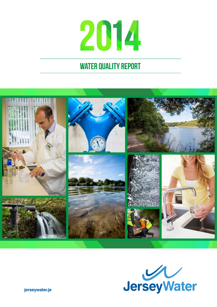# 2014

#### WATER QUALITY REPORT





**jerseywater.je**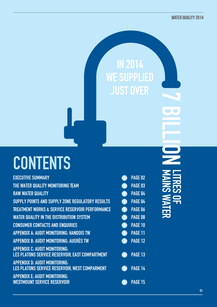### **CONTENTS**

| <b>EXECUTIVE SUMMARY</b>                                                                |                       | PAGE 02        |
|-----------------------------------------------------------------------------------------|-----------------------|----------------|
| THE WATER QUALITY MONITORING TEAM                                                       |                       | PAGE 03        |
| <b>RAW WATER QUALITY</b>                                                                |                       | PAGE 04        |
| SUPPLY POINTS AND SUPPLY ZONE REGULATORY RESULTS                                        | $\blacktriangleright$ | PAGE 04        |
| <b>TREATMENT WORKS &amp; SERVICE RESERVOIR PERFORMANCE</b>                              | $\sum$                | <b>PAGE 06</b> |
| <b>WATER QUALITY IN THE DISTRIBUTION SYSTEM</b>                                         | $\sum_{i=1}^{n}$      | PAGE 08        |
| <b>CONSUMER CONTACTS AND ENQUIRIES</b>                                                  |                       | PAGE 10        |
| APPENDIX A: AUDIT MONITORING: HANDOIS TW                                                |                       | <b>PAGE 11</b> |
| <b>APPENDIX B: AUDIT MONITORING: AUGRÈS TW</b>                                          |                       | <b>PAGE 12</b> |
| <b>APPENDIX C: AUDIT MONITORING:</b><br>LES PLATONS SERVICE RESERVOIR, EAST COMPARTMENT |                       | PAGE 13        |
| <b>APPENDIX D. AUDIT MONITORING:</b>                                                    |                       |                |
| LES PLATONS SERVICE RESERVOIR, WEST COMPARMENT                                          |                       | PAGE 14        |
| <b>APPENDIX E: AUDIT MONITORING:</b>                                                    |                       |                |
| <b>WESTMOUNT SERVICE RESERVOIR</b>                                                      |                       | PAGE 15        |

# LIQUE VINES OF mains water <u> 동유</u>

In 2014

WE SUPPLIED

**JUST OVER**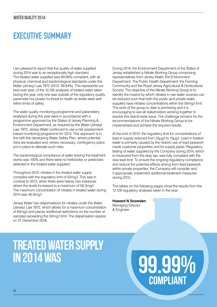#### WATER QUALITY 2014

#### Executive Summary

I am pleased to report that the quality of water supplied during 2014 was to an exceptionally high standard. The treated water supplied was 99.99% compliant, with all physical, chemical and bacteriological standards under the Water (Jersey) Law 1972 (2013: 99.84%). This represents our best ever year, of the 12,126 analyses of treated water taken during the year, only one was outside of the regulatory quality parameter but posed no threat to health as levels were well within limits of safety.

The water quality monitoring programme and parameters analysed during the year were in accordance with a programme approved by the States of Jersey Planning & Environment Department, as required by the Water (Jersey) Law 1972. Jersey Water continued to use a risk assessmentbased monitoring programme for 2014. This approach is in line with the developing Water Safety Plan, where potential risks are evaluated and, where necessary, contingency plans put in place to alleviate such risks.

The bacteriological compliance of water leaving the treatment works was 100% and there were no herbicides or pesticides detected in the treated water supplied.

Throughout 2014, nitrates in the treated water supply complied with the regulatory limit of 50mg/l. This was in contrast to 2013, when there were twenty two instances where the levels increased to a maximum of 58.2mg/l. The maximum concentration of nitrates in treated water during 2014 was 46.9mg/l.

Jersey Water has dispensations for nitrates under the Water (Jersey) Law 1972, which allows for a maximum concentration of 65mg/l and places additional restrictions on the number of samples exceeding the 50mg/l limit. The dispensation expires on 31 December 2016.

During 2014, the Environment Department of the States of Jersey established a Nitrate Working Group comprising representatives from Jersey Water, the Environment Department, The Public Health Department, the Farming Community and the Royal Jersey Agricultural & Horticultural Society. The objective of the Nitrate Working Group is to identify the means by which nitrates in raw water sources can be reduced such that both the public and private water supplies have nitrates concentrations within the 50mg/l limit. The work of the group to date is promising and it is encouraging to see all stakeholders working together to resolve this island-wide issue. The challenge remains for the recommendations of the Nitrate Working Group to be implemented and achieve the required results.

At the end of 2013, the regulatory limit for concentrations of lead in supply reduced from 25µg/l to 10µg/l. Lead in treated water is primarily caused by the historic use of lead pipework inside customer properties and for supply pipes. Regulatory testing of water supplied by the Company during 2014, which is measured from the stop tap, was fully compliant with the new lead limit. To ensure the ongoing regulatory compliance and reduce the potential effects arising from lead pipework within private properties, the Company will consider and, if appropriate, implement additional treatment measures during 2015.

The tables on the following pages show the results from the 12,126 regulatory analyses taken in the year.

**Howard N Snowden** Managing Director & Engineer

## TREATED WATER SUPPLY<br>IN 2014 WAS

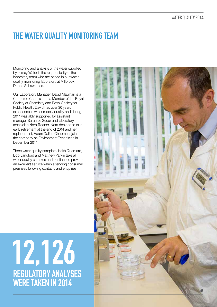#### THE WATER QUALITY MONITORING TEAM

Monitoring and analysis of the water supplied by Jersey Water is the responsibility of the laboratory team who are based in our water quality monitoring laboratory at Millbrook Depot, St Lawrence.

Our Laboratory Manager, David Mayman is a Chartered Chemist and a Member of the Royal Society of Chemistry and Royal Society for Public Health. David has over 30 years experience in water supply quality and during 2014 was ably supported by assistant manager Sarah Le Sueur and laboratory technician Nora Treanor. Nora decided to take early retirement at the end of 2014 and her replacement, Adam Dallas-Chapman, joined the company as Environment Technician in December 2014.

Three water quality samplers, Keith Quemard, Bob Langford and Matthew Parkin take all water quality samples and continue to provide an excellent service when attending consumer premises following contacts and enquiries.

### 12,126 regulatory analyses were taken in 2014

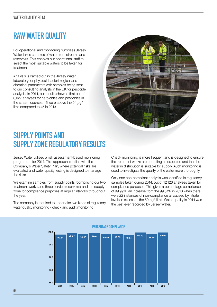#### RAW WATER QUALITY

For operational and monitoring purposes Jersey Water takes samples of water from streams and reservoirs. This enables our operational staff to select the most suitable waters to be taken for treatment.

Analysis is carried out in the Jersey Water laboratory for physical, bacteriological and chemical parameters with samples being sent to our consulting analysts in the UK for pesticide analysis. In 2014, our results showed that out of 6,027 analyses for herbicides and pesticides in the stream courses, 15 were above the 0.1  $\mu$ g/l limit compared to 45 in 2013.



#### SUPPLY POINTS AND Supply Zone Regulatory Results

Jersey Water utilised a risk assessment-based monitoring programme for 2014. This approach is in line with the Company's Water Safety Plan, where potential risks are evaluated and water quality testing is designed to manage the risks.

We examine samples from supply points (comprising our two treatment works and three service reservoirs) and the supply zone for compliance purposes at regular intervals throughout the year.

The company is required to undertake two kinds of regulatory water quality monitoring - check and audit monitoring.

Check monitoring is more frequent and is designed to ensure the treatment works are operating as expected and that the water in distribution is suitable for supply. Audit monitoring is used to investigate the quality of the water more thoroughly.

Only one non-compliant analysis was identified in regulatory samples taken during 2014, out of 12,126 analyses taken for compliance purposes. This gives a percentage compliance of 99.99%, an increase from the 99.84% in 2013 when there were 22 instances of non-compliance all caused by nitrate levels in excess of the 50mg/l limit. Water quality in 2014 was the best ever recorded by Jersey Water.

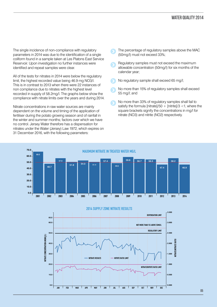The single incidence of non-compliance with regulatory parameters in 2014 was due to the identification of a single coliform found in a sample taken at Les Platons East Service Reservoir. Upon investigation no further instances were identified and repeat samples were clear.

All of the tests for nitrates in 2014 were below the regulatory limit, the highest recorded value being 46.9 mg NO3/l. This is in contrast to 2013 when there were 22 instances of non compliance due to nitrates with the highest level recorded in supply of 58.2mg/l. The graphs below show the compliance with nitrate limits over the years and during 2014.

Nitrate concentrations in raw water sources are mainly dependent on the volume and timing of the application of fertiliser during the potato growing season and of rainfall in the winter and summer months; factors over which we have no control. Jersey Water therefore has a dispensation for nitrates under the Water (Jersey) Law 1972, which expires on 31 December 2016, with the following parameters:

- The percentage of regulatory samples above the MAC (50mg/l) must not exceed 33%;
- Regulatory samples must not exceed the maximum allowable concentration (50mg/l) for six months of the calendar year;
- No regulatory sample shall exceed 65 mg/l;
- No more than 15% of regulatory samples shall exceed 55 mg/l; and
- No more than 33% of regulatory samples shall fail to satisfy the formula [nitrate]/50 + [nitrite]/3 <1, where the square brackets signify the concentrations in mg/l for nitrate (NO3) and nitrite (NO2) respectively.



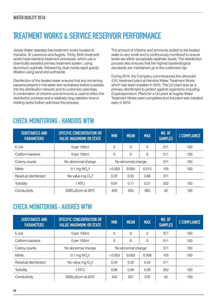#### Treatment Works & Service Reservoir performance

Jersey Water operates two treatment works located at Handois, St Lawrence and Augrès, Trinity. Both treatment works have identical treatment processes, which use a chemically-assisted primary treatment system, using aluminium sulphate, followed by dual media rapid gravity filtration using sand and anthracite.

Disinfection of the treated water ensures that any remaining bacteria present in the water are neutralised before it passes into the distribution network and to customers premises. A combination of chlorine and ammonia is used to effect the disinfection process and a relatively long retention time in holding tanks further optimises the process.

The amount of chlorine and ammonia added to the treated water is very small and is continuously monitored to ensure levels are within acceptable aesthetic levels. The disinfection process also ensures that the highest bacteriological standards are maintained up to the customers tap.

During 2014, the Company commissioned the ultraviolet (UV) treatment plant at Handois Water Treatment Works which had been installed in 2013. The UV plant acts as a primary disinfectant to protect against organisms including Cryptosporidium. Plans for a UV plant at Augrès Water Treatment Works were completed and the plant was installed early in 2015.

#### Check Monitoring : Handois WTW

| <b>SUBSTANCES AND</b><br><b>PARAMETERS</b> | <b>SPECIFIC CONCENTRATION OR</b><br><b>VALUE (MAXIMUM) OR STATE</b> | <b>MIN</b> | <b>MEAN</b>        | <b>MAX</b> | <b>NO. OF</b><br><b>SAMPLES</b> | % COMPLIANCE |
|--------------------------------------------|---------------------------------------------------------------------|------------|--------------------|------------|---------------------------------|--------------|
| E.coli                                     | 0 per 100ml                                                         | $\Omega$   | $\Omega$           | $\Omega$   | 311                             | 100          |
| Coliform bacteria                          | 0 per 100ml                                                         | 0          | $\mathbf 0$        | 0          | 311                             | 100          |
| Colony counts                              | No abnormal change                                                  |            | No abnormal change |            |                                 | 100          |
| <b>Nitrite</b>                             | 0.1 mg $NO2/I$                                                      | < 0.003    | 0.004              | 0.013      | 105                             | 100          |
| Residual disinfectant                      | No value mg Cl <sub>2</sub> /I                                      | 0.22       | 0.55               | 0.66       | 311                             |              |
| Turbidity                                  | 1 NTU                                                               | 0.07       | 0.11               | 0.21       | 252                             | 100          |
| Conductivity                               | 2500 $\mu$ S/cm at 20 <sup>°</sup> C                                | 429        | 504                | 563        | 52                              | 100          |

#### Check Monitoring : AugrÈs WTW

| <b>SUBSTANCES AND</b><br><b>PARAMETERS</b> | <b>SPECIFIC CONCENTRATION OR</b><br><b>VALUE (MAXIMUM) OR STATE</b> | <b>MIN</b>         | <b>MEAN</b> | <b>MAX</b> | <b>NO. OF</b><br><b>SAMPLES</b> | % COMPLIANCE |
|--------------------------------------------|---------------------------------------------------------------------|--------------------|-------------|------------|---------------------------------|--------------|
| E.coli                                     | 0 per 100ml                                                         | $\Omega$           | $\Omega$    | $\Omega$   | 311                             | 100          |
| Coliform bacteria                          | 0 per 100ml                                                         | $\Omega$           | 0           | $\Omega$   | 311                             | 100          |
| Colony counts                              | No abnormal change                                                  | No abnormal change |             |            | 311                             | 100          |
| Nitrite                                    | $0.1$ mg NO $\sqrt{1}$                                              | < 0.003            | 0.003       | 0.008      | 105                             | 100          |
| Residual disinfectant                      | No value mg Cl <sub>2</sub> /I                                      | 0.34               | 0.42        | 0.54       | 311                             |              |
| Turbidity                                  | 1 NTU                                                               | 0.06               | 0.09        | 0.36       | 252                             | 100          |
| Conductivity                               | 2500 $\mu$ S/cm at 20 <sup>°</sup> C                                | 453                | 507         | 570        | 52                              | 100          |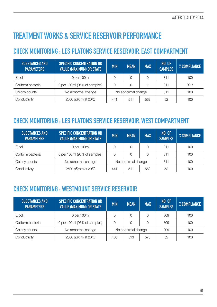#### Treatment Works & Service Reservoir performance

#### Check Monitoring : Les Platons Service Reservoir, East Compartment

| SUBSTANCES AND<br><b>PARAMETERS</b> | <b>SPECIFIC CONCENTRATION OR</b><br><b>VALUE (MAXIMUM) OR STATE</b> | <b>MIN</b><br><b>MAX</b><br><b>MEAN</b> |     | <b>NO. OF</b><br><b>SAMPLES</b> | % COMPLIANCE |     |
|-------------------------------------|---------------------------------------------------------------------|-----------------------------------------|-----|---------------------------------|--------------|-----|
| E.coli                              | 0 per 100ml                                                         | 0                                       |     |                                 | 311          | 100 |
| Coliform bacteria                   | 0 per 100ml (95% of samples)                                        | $\Omega$<br>0                           |     | 311                             | 99.7         |     |
| Colony counts                       | No abnormal change                                                  | No abnormal change                      |     |                                 | 311          | 100 |
| Conductivity                        | $2500 \,\mu\text{S/cm}$ at $20^{\circ}\text{C}$                     | 441                                     | 511 | 562                             | 52           | 100 |

#### Check Monitoring : Les Platons Service Reservoir, West Compartment

| <b>SUBSTANCES AND</b><br><b>PARAMETERS</b> | <b>SPECIFIC CONCENTRATION OR</b><br><b>VALUE (MAXIMUM) OR STATE</b> | <b>MIN</b>         | <b>MEAN</b> | <b>MAX</b> | <b>NO. OF</b><br><b>SAMPLES</b> | % COMPLIANCE |
|--------------------------------------------|---------------------------------------------------------------------|--------------------|-------------|------------|---------------------------------|--------------|
| E.coli                                     | 0 per 100ml                                                         | 0                  | 0           | 0          | 311                             | 100          |
| Coliform bacteria                          | 0 per 100ml (95% of samples)                                        | 0<br>0             |             | 0          | 311                             | 100          |
| Colony counts                              | No abnormal change                                                  | No abnormal change |             |            | 311                             | 100          |
| Conductivity                               | $2500 \,\mu\text{S/cm}$ at $20^{\circ}\text{C}$                     | 441                | 511         | 563        | 52                              | 100          |

#### Check Monitoring : Westmount Service Reservoir

| <b>SUBSTANCES AND</b><br><b>PARAMETERS</b> | <b>SPECIFIC CONCENTRATION OR</b><br><b>VALUE (MAXIMUM) OR STATE</b> | <b>MIN</b>         | <b>MEAN</b> | <b>MAX</b> | <b>NO. OF</b><br><b>SAMPLES</b> | % COMPLIANCE |
|--------------------------------------------|---------------------------------------------------------------------|--------------------|-------------|------------|---------------------------------|--------------|
| E.coli                                     | 0 per 100ml                                                         | 0                  | 0           |            | 309                             | 100          |
| Coliform bacteria                          | 0 per 100ml (95% of samples)                                        | $\Omega$           | 0           |            | 309                             | 100          |
| Colony counts                              | No abnormal change                                                  | No abnormal change |             |            | 309                             | 100          |
| Conductivity                               | 2500 $\mu$ S/cm at 20 <sup>o</sup> C                                | 460                | 513         | 570        | 52                              | 100          |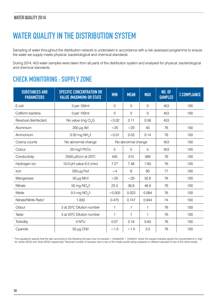#### WATER QUALITY IN THE DISTRIBUTION SYSTEM

Sampling of water throughout the distribution network is undertaken in accordance with a risk assessed programme to ensure the water we supply meets physical, bacteriological and chemical standards.

During 2014, 453 water samples were taken from all parts of the distribution system and analysed for physical, bacteriological and chemical standards.

#### Check Monitoring : Supply Zone

| <b>SUBSTANCES AND</b><br><b>PARAMETERS</b> | <b>SPECIFIC CONCENTRATION OR</b><br><b>VALUE (MAXIMUM) OR STATE</b> | <b>MIN</b>   | <b>MEAN</b>        | <b>MAX</b>     | <b>NO. OF</b><br><b>SAMPLES</b> | % COMPLIANCE |
|--------------------------------------------|---------------------------------------------------------------------|--------------|--------------------|----------------|---------------------------------|--------------|
| E.coli                                     | 0 per 100ml                                                         | 0            | $\mathbf 0$        | $\mathbf 0$    | 453                             | 100          |
| Coliform bacteria                          | 0 per 100ml                                                         | 0            | $\mathbf 0$        | $\overline{0}$ | 453                             | 100          |
| Residual disinfectant                      | No value (mg Cl <sub>2</sub> /l)                                    | < 0.02       | 0.11               | 0.56           | 453                             |              |
| Aluminium                                  | $200 \mu g$ Al/l                                                    | $<$ 20       | $<$ 20             | 40             | 76                              | 100          |
| Ammonium                                   | 0.50 mg $NHa/I$                                                     | < 0.01       | 0.03               | 0.14           | 76                              | 100          |
| Colony counts                              | No abnormal change                                                  |              | No abnormal change |                | 453                             | 100          |
| Colour                                     | 20 mg/l Pt/Co                                                       | 5            | 5                  | 5              | 453                             | 100          |
| Conductivity                               | 2500 $\mu$ S/cm at 20 <sup>o</sup> C                                | 445          | 515                | 569            | 76                              | 100          |
| Hydrogen ion                               | 10.0 pH value 6.5 (min)                                             | 7.27         | 7.48               | 7.80           | 76                              | 100          |
| Iron                                       | 200 $\mu$ g Fe/l                                                    | $\leq 4$     | 8                  | 90             | 77                              | 100          |
| Manganese                                  | $50 \mu g$ Mn/l                                                     | $<$ 20       | $<$ 20             | 32.6           | 76                              | 100          |
| Nitrate                                    | 50 mg NO <sub>3</sub> /l                                            | 23.3         | 36.8               | 46.9           | 76                              | 100          |
| <b>Nitrite</b>                             | $0.5$ mg NO $\sqrt{1}$                                              | < 0.003      | 0.023              | 0.084          | 76                              | 100          |
| Nitrate/Nitrite Ratio <sup>1</sup>         | 1.000                                                               | 0.475        | 0.747              | 0.944          | 74                              | 100          |
| Odour                                      | 3 at 25°C Dilution number                                           | $\mathbf{1}$ | 1                  | $\mathbf{1}$   | 76                              | 100          |
| Taste                                      | 3 at 25°C Dilution number                                           | $\mathbf{1}$ | $\mathbf{1}$       | $\mathbf 1$    | 76                              | 100          |
| Turbidity                                  | 4 NTU                                                               | 0.07         | 0.16               | 0.64           | 76                              | 100          |
| Cyanide                                    | 50 µg CN/l                                                          | < 1.0        | < 1.0              | 3.0            | 76                              | 100          |

1 The regulations specify that the ratio according to the following formula must not exceed 1, [nitrate]/50 + [nitrite]/3, where the square brackets signify the concentrations in mg/l for nitrate (NO3) and nitrite (NO2) respectively. Reduced number of samples due to two of the nitrate results being analysed on different samples to two of the nitrite results.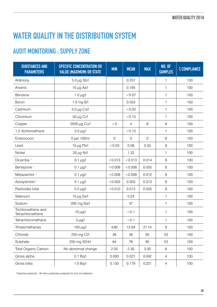#### WATER QUALITY IN THE DISTRIBUTION SYSTEM

#### Audit Monitoring : Supply Zone

| <b>SUBSTANCES AND</b><br><b>PARAMETERS</b> | <b>SPECIFIC CONCENTRATION OR</b><br><b>VALUE (MAXIMUM) OR STATE</b> | <b>MIN</b>     | <b>MEAN</b> | <b>MAX</b>     | <b>NO. OF</b><br><b>SAMPLES</b> | % COMPLIANCE |
|--------------------------------------------|---------------------------------------------------------------------|----------------|-------------|----------------|---------------------------------|--------------|
| Antimony                                   | $5.0 \,\mu g$ Sb/l                                                  |                | 0.257       |                | 1                               | 100          |
| Arsenic                                    | 10 $\mu$ g As/l                                                     |                | 0.195       |                | $\mathbf{1}$                    | 100          |
| Benzene                                    | 1.0 $\mu$ g/l                                                       |                | < 0.07      |                | 1                               | 100          |
| <b>Boron</b>                               | 1.0 mg B/l                                                          |                | 0.053       |                | $\mathbf{1}$                    | 100          |
| Cadmium                                    | $5.0 \,\mu$ g Cd/l                                                  |                | < 0.02      |                | $\mathbf{1}$                    | 100          |
| Chromium                                   | 50 $\mu$ g Cr/l                                                     |                | < 0.15      |                | 1                               | 100          |
| Copper                                     | 2000 µg Cu/l                                                        | $<$ 3          | 4           | $8\,$          | 8                               | 100          |
| 1,2 dichloroethane                         | $3.0 \mu g/l$                                                       |                | < 0.12      |                | 1                               | 100          |
| Enterococci                                | 0 per 100ml                                                         | $\overline{0}$ | $\mathbf 0$ | $\overline{0}$ | 8                               | 100          |
| Lead                                       | 10 $\mu$ g Pb/l                                                     | < 0.03         | 0.08        | 0.50           | 8                               | 100          |
| Nickel                                     | $20 \mu g$ Ni/l                                                     |                | 1.32        |                | 1                               | 100          |
| Dicamba <sup>1</sup>                       | $0.1 \mu g/l$                                                       | < 0.013        | < 0.013     | 0.014          | $\,8\,$                         | 100          |
| Bentazone <sup>1</sup>                     | $0.1 \mu g/l$                                                       | < 0.008        | < 0.008     | 0.055          | 8                               | 100          |
| Metazachlor <sup>1</sup>                   | $0.1 \mu g/l$                                                       | < 0.008        | < 0.008     | 0.012          | 8                               | 100          |
| Azoxystrobin <sup>1</sup>                  | $0.1 \mu g/l$                                                       | < 0.003        | 0.003       | 0.013          | $\,8\,$                         | 100          |
| Pesticides total                           | $0.5 \mu g/l$                                                       | < 0.010        | 0.013       | 0.055          | 8                               | 100          |
| Selenium                                   | 10 $\mu$ g Se/I                                                     |                | 0.24        |                | $\mathbf{1}$                    | 100          |
| Sodium                                     | 200 mg Na/l                                                         |                | 47          |                | $\mathbf{1}$                    | 100          |
| Trichloroethene and<br>Tetrachloroethene   | $10 \mu g/l$                                                        |                | < 0.1       |                | 1                               | 100          |
| Tetrachloromethane                         | $3 \mu g/l$                                                         |                | < 0.1       |                | $\mathbf{1}$                    | 100          |
| Trihalomethanes                            | $100 \mu g/l$                                                       | 4.82           | 12.84       | 21.14          | 8                               | 100          |
| Chloride                                   | 250 mg Cl/l                                                         | 48             | 56          | 63             | 53                              | 100          |
| Sulphate                                   | 250 mg SO4/l                                                        | 64             | 76          | 95             | 53                              | 100          |
| Total Organic Carbon                       | No abnormal change                                                  | 2.00           | 2.30        | 3.00           | 8                               | 100          |
| Gross alpha                                | 0.1 Bq/l                                                            | 0.000          | 0.021       | 0.042          | 4                               | 100          |
| Gross beta                                 | 1.0 Bq/l                                                            | 0.130          | 0.179       | 0.221          | $\overline{4}$                  | 100          |

1 Detected pesticide - 39 other pesticides analysed for and not detected.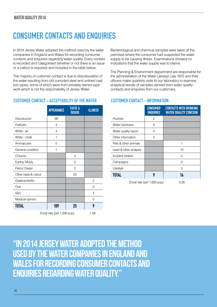#### Consumer Contacts and Enquiries

In 2014 Jersey Water adopted the method used by the water companies in England and Wales for recording consumer contacts and enquiries regarding water quality. Every contact is recorded and categorised (whether or not there is an issue or a callout is required) and included in the table below.

The majority of customer contact is due to discolouration of the water resulting from old corroded steel and unlined cast iron pipes, some of which were from privately owned pipe work which is not the responsibility of Jersey Water.

#### CUSTOMER CONTACT - ACCEPTABILITY OF THE WATER CUSTOMER CONTACT - INFORMATION

|                     | <b>APPEARANCE</b> | <b>TASTE &amp;</b><br><b>ODOUR</b> | <b>ILLNESS</b> |
|---------------------|-------------------|------------------------------------|----------------|
| Discoloured         | 99                |                                    |                |
| Particles           | 4                 |                                    |                |
| White - air         | 4                 |                                    |                |
| White - chalk       | 1                 |                                    |                |
| Animalcules         | 0                 |                                    |                |
| General condition   | 1                 |                                    |                |
| Chlorine            |                   | 5                                  |                |
| Earthy/ Musty       |                   | 0                                  |                |
| Petrol/Diesel       |                   | 0                                  |                |
| Other taste & odour |                   | 20                                 |                |
| Gastroenteritis     |                   |                                    | 5              |
| Oral                |                   |                                    | 0              |
| Skin                |                   |                                    | 4              |
| Medical opinion     |                   |                                    | $\Omega$       |
| <b>TOTAL</b>        | 109               | 25                                 | 9              |

Zonal rate (per 1,000 pop) 1.59

Bacteriological and chemical samples were taken at the premises where the consumer had suspected the water supply to be causing illness. Examinations showed no indications that the water supply was to blame.

The Planning & Environment department are responsible for the administration of the Water (Jersey) Law 1972 and their officers make quarterly visits to our laboratory to examine analytical results of samples derived from water quality contacts and enquiries from our customers.

|                       | <b>CONSUMER</b><br><b>ENQUIRIES</b> | <b>CONTACTS WITH DRINKING</b><br><b>WATER QUALITY CONCERN</b> |
|-----------------------|-------------------------------------|---------------------------------------------------------------|
| Fluoride              | 2                                   |                                                               |
| Water hardness        | O                                   |                                                               |
| Water quality report  | 4                                   |                                                               |
| Other information     | 3                                   |                                                               |
| Pets & other animals  |                                     | 1                                                             |
| Lead & other analysis |                                     | 10                                                            |
| Incident related      |                                     | 0                                                             |
| Campaigns             |                                     | 0                                                             |
| Lifestyle             |                                     | 3                                                             |
| <b>TOTAL</b>          | 9                                   | 14                                                            |
|                       | Zonal rate (per 1,000 pop)          | 0.26                                                          |

"In 2014 Jersey Water adopted the method used by the water companies in England and Wales for recording consumer contacts and enquiries regarding water quality."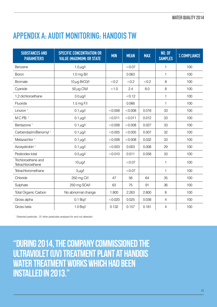#### Appendix A: Audit Monitoring: Handois TW

| <b>SUBSTANCES AND</b><br><b>PARAMETERS</b> | <b>SPECIFIC CONCENTRATION OR</b><br><b>VALUE (MAXIMUM) OR STATE</b> | <b>MIN</b> | <b>MEAN</b> | <b>MAX</b> | <b>NO. OF</b><br><b>SAMPLES</b> | % COMPLIANCE |
|--------------------------------------------|---------------------------------------------------------------------|------------|-------------|------------|---------------------------------|--------------|
| Benzene                                    | 1.0 $\mu$ g/l                                                       |            | < 0.07      |            | 1                               | 100          |
| <b>Boron</b>                               | $1.0$ mg B/I                                                        |            | 0.063       |            | 1                               | 100          |
| <b>Bromate</b>                             | $10 \mu$ g BrO3/I                                                   | < 0.2      | < 0.2       | <0.2       | 8                               | 100          |
| Cyanide                                    | $50 \mu$ g CN/I                                                     | < 1.0      | 2.4         | 8.0        | 8                               | 100          |
| 1,2 dichloroethane                         | $3.0 \mu$ g/l                                                       |            | < 0.12      |            | $\mathbf{1}$                    | 100          |
| Fluoride                                   | 1.5 mg F/I                                                          |            | 0.066       |            | 1                               | 100          |
| Linuron $1$                                | 0.1 $\mu$ g/l                                                       | < 0.008    | < 0.008     | 0.018      | 33                              | 100          |
| $M.C.P.B.$ <sup>1</sup>                    | 0.1 $\mu$ g/l                                                       | < 0.011    | < 0.011     | 0.012      | 33                              | 100          |
| Bentazone <sup>1</sup>                     | 0.1 $\mu$ g/l                                                       | < 0.008    | < 0.008     | 0.027      | 33                              | 100          |
| Carbendazim/Benomyl <sup>1</sup>           | 0.1 $\mu$ g/l                                                       | < 0.005    | < 0.005     | 0.007      | 32                              | 100          |
| Metazachlor <sup>1</sup>                   | 0.1 $\mu$ g/l                                                       | < 0.008    | < 0.008     | 0.032      | 33                              | 100          |
| Azoxystrobin <sup>1</sup>                  | $0.1 \mu g/l$                                                       | < 0.003    | 0.003       | 0.008      | 29                              | 100          |
| Pesticides total                           | $0.5 \mu$ g/l                                                       | < 0.010    | 0.011       | 0.058      | 33                              | 100          |
| Trichloroethene and<br>Tetrachloroethene   | $10 \mu g/l$                                                        |            | < 0.07      |            | 1                               | 100          |
| Tetrachloromethane                         | $3 \mu g/l$                                                         |            | < 0.07      |            | 1                               | 100          |
| Chloride                                   | 250 mg Cl/l                                                         | 47         | 56          | 64         | 35                              | 100          |
| Sulphate                                   | 250 mg SO4/l                                                        | 63         | 75          | 91         | 36                              | 100          |
| <b>Total Organic Carbon</b>                | No abnormal change                                                  | 1.800      | 2.263       | 2.800      | 8                               | 100          |
| Gross alpha                                | 0.1 Bq/l                                                            | < 0.020    | 0.025       | 0.038      | $\overline{4}$                  | 100          |
| Gross beta                                 | 1.0 Bq/l                                                            | 0.132      | 0.157       | 0.181      | 4                               | 100          |

1 Detected pesticide - 37 other pesticides analysed for and not detected.

"During 2014, the Company commissioned the ultraviolet (UV) treatment plant at Handois Water Treatment Works which had been installed in 2013."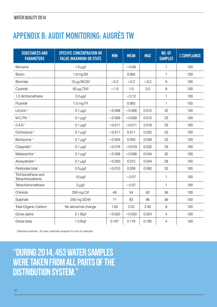#### Appendix B: Audit Monitoring: Augrès TW

| <b>SUBSTANCES AND</b><br><b>PARAMETERS</b> | <b>SPECIFIC CONCENTRATION OR</b><br><b>VALUE (MAXIMUM) OR STATE</b> | <b>MIN</b> | <b>MEAN</b> | <b>MAX</b> | <b>NO. OF</b><br><b>SAMPLES</b> | % COMPLIANCE |
|--------------------------------------------|---------------------------------------------------------------------|------------|-------------|------------|---------------------------------|--------------|
| Benzene                                    | 1.0 $\mu$ g/l                                                       |            | &0.06       |            | 1                               | 100          |
| <b>Boron</b>                               | 1.0 mg B/I                                                          |            | 0.064       |            | $\mathbf{1}$                    | 100          |
| <b>Bromate</b>                             | 10 $\mu$ g BrO3/I                                                   | < 0.2      | < 0.2       | < 0.2      | 8                               | 100          |
| Cyanide                                    | $50 \mu g$ CN/I                                                     | < 1.0      | 1.0         | 3.0        | 8                               | 100          |
| 1,2 dichloroethane                         | $3.0 \mu g/l$                                                       |            | < 0.12      |            | 1                               | 100          |
| Fluoride                                   | 1.5 mg F/I                                                          |            | 0.063       |            | 1                               | 100          |
| Linuron <sup>1</sup>                       | $0.1 \mu g/l$                                                       | < 0.008    | < 0.008     | 0.012      | 32                              | 100          |
| M.C.P.A. 1                                 | $0.1 \mu g/l$                                                       | < 0.009    | < 0.009     | 0.012      | 33                              | 100          |
| $2,4-D$ <sup>1</sup>                       | 0.1 $\mu$ g/l                                                       | < 0.011    | < 0.011     | 0.016      | 33                              | 100          |
| Dichlorprop <sup>1</sup>                   | $0.1 \,\mu g/l$                                                     | < 0.011    | 0.011       | 0.022      | 33                              | 100          |
| Bentazone <sup>1</sup>                     | 0.1 $\mu$ g/l                                                       | < 0.004    | 0.020       | 0.059      | 33                              | 100          |
| Clopyralid <sup>1</sup>                    | $0.1 \mu g/l$                                                       | < 0.019    | < 0.019     | 0.032      | 33                              | 100          |
| Metazachlor <sup>1</sup>                   | 0.1 $\mu$ g/l                                                       | < 0.008    | < 0.008     | 0.044      | 32                              | 100          |
| Azoxystrobin <sup>1</sup>                  | $0.1 \mu g/l$                                                       | < 0.003    | 0.012       | 0.044      | 28                              | 100          |
| Pesticides total                           | $0.5 \mu$ g/l                                                       | < 0.010    | 0.039       | 0.092      | 33                              | 100          |
| Trichloroethene and<br>Tetrachloroethene   | $10 \mu g/l$                                                        |            | < 0.07      |            | $\mathbf{1}$                    | 100          |
| Tetrachloromethane                         | $3 \mu g/l$                                                         |            | < 0.07      |            | $\mathbf{1}$                    | 100          |
| Chloride                                   | 250 mg Cl/l                                                         | 48         | 54          | 62         | 36                              | 100          |
| Sulphate                                   | 250 mg SO4/l                                                        | 71         | 83          | 96         | 36                              | 100          |
| <b>Total Organic Carbon</b>                | No abnormal change                                                  | 1.60       | 2.03        | 2.40       | 8                               | 100          |
| Gross alpha                                | 0.1 Bq/l                                                            | < 0.020    | < 0.020     | 0.024      | $\overline{4}$                  | 100          |
| Gross beta                                 | 1.0 Bq/l                                                            | 0.167      | 0.179       | 0.185      | 4                               | 100          |

1 Detected pesticide - 35 other pesticides analysed for and not detected.

"During 2014, 453 water samples were taken from all parts of the distribution system."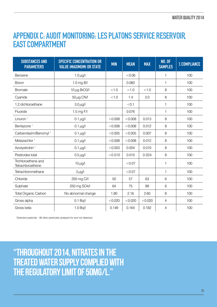#### Appendix C: Audit Monitoring: Les Platons Service Reservoir, East Compartment

| <b>SUBSTANCES AND</b><br><b>PARAMETERS</b> | <b>SPECIFIC CONCENTRATION OR</b><br><b>VALUE (MAXIMUM) OR STATE</b> | <b>MIN</b> | <b>MEAN</b> | <b>MAX</b> | <b>NO. OF</b><br><b>SAMPLES</b> | % COMPLIANCE |
|--------------------------------------------|---------------------------------------------------------------------|------------|-------------|------------|---------------------------------|--------------|
| Benzene                                    | 1.0 $\mu$ g/l                                                       |            | < 0.06      |            | $\mathbf{1}$                    | 100          |
| <b>Boron</b>                               | 1.0 mg B/l                                                          |            | 0.060       |            | 1                               | 100          |
| <b>Bromate</b>                             | $10 \mu$ g BrO3/I                                                   | < 1.0      | < 1.0       | < 1.0      | 8                               | 100          |
| Cyanide                                    | $50 \,\mu\text{g}$ CN/I                                             | < 1.0      | 1.4         | 3.0        | 8                               | 100          |
| 1,2 dichloroethane                         | $3.0 \mu g/l$                                                       |            | < 0.1       |            | 1                               | 100          |
| Fluoride                                   | 1.5 mg F/I                                                          |            | 0.076       |            | 1                               | 100          |
| Linuron <sup>1</sup>                       | $0.1 \mu g/l$                                                       | < 0.008    | < 0.008     | 0.013      | 8                               | 100          |
| Bentazone <sup>1</sup>                     | $0.1 \mu g/l$                                                       | < 0.008    | < 0.008     | 0.012      | 8                               | 100          |
| Carbendazim/Benomyl <sup>1</sup>           | 0.1 $\mu$ g/l                                                       | < 0.005    | < 0.005     | 0.007      | 8                               | 100          |
| Metazachlor <sup>1</sup>                   | 0.1 $\mu$ g/l                                                       | < 0.008    | < 0.008     | 0.012      | 8                               | 100          |
| Azoxystrobin <sup>1</sup>                  | 0.1 $\mu$ g/l                                                       | < 0.003    | 0.004       | 0.010      | 8                               | 100          |
| Pesticides total                           | $0.5 \mu$ g/l                                                       | < 0.010    | 0.010       | 0.024      | 8                               | 100          |
| Trichloroethene and<br>Tetrachloroethene   | $10 \mu g/l$                                                        |            | < 0.07      |            | $\mathbf{1}$                    | 100          |
| Tetrachloromethane                         | $3 \mu g/l$                                                         |            | < 0.07      |            | $\mathbf{1}$                    | 100          |
| Chloride                                   | 250 mg Cl/l                                                         | 50         | 57          | 63         | 6                               | 100          |
| Sulphate                                   | 250 mg SO4/l                                                        | 64         | 75          | 89         | 6                               | 100          |
| <b>Total Organic Carbon</b>                | No abnormal change                                                  | 1.80       | 2.16        | 2.60       | 8                               | 100          |
| Gross alpha                                | 0.1 Bq/l                                                            | < 0.020    | < 0.020     | < 0.020    | $\overline{4}$                  | 100          |
| Gross beta                                 | 1.0 Bq/l                                                            | 0.149      | 0.164       | 0.182      | 4                               | 100          |

1 Detected pesticide - 38 other pesticides analysed for and not detected.

"Throughout 2014, nitrates in the treated water supply complied with the regulatory limit of 50mg/l."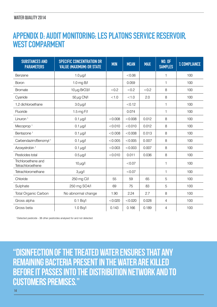#### WATER QUALITY 2014

#### Appendix D: Audit Monitoring: Les Platons Service Reservoir, WEST COMPARMENT

| <b>SUBSTANCES AND</b><br><b>PARAMETERS</b> | <b>SPECIFIC CONCENTRATION OR</b><br><b>VALUE (MAXIMUM) OR STATE</b> | <b>MIN</b> | <b>MEAN</b> | <b>MAX</b> | <b>NO. OF</b><br><b>SAMPLES</b> | % COMPLIANCE |
|--------------------------------------------|---------------------------------------------------------------------|------------|-------------|------------|---------------------------------|--------------|
| Benzene                                    | 1.0 $\mu$ g/l                                                       |            | < 0.06      |            | 1                               | 100          |
| <b>Boron</b>                               | 1.0 mg B/l                                                          |            | 0.059       |            | $\mathbf{1}$                    | 100          |
| <b>Bromate</b>                             | 10 $\mu$ g BrO3/I                                                   | < 0.2      | < 0.2       | < 0.2      | 8                               | 100          |
| Cyanide                                    | $50 \,\mu\text{g}$ CN/I                                             | < 1.0      | < 1.0       | 2.0        | 8                               | 100          |
| 1,2 dichloroethane                         | $3.0 \mu g/l$                                                       |            | < 0.12      |            | 1                               | 100          |
| Fluoride                                   | 1.5 mg F/I                                                          |            | 0.074       |            | $\mathbf{1}$                    | 100          |
| Linuron <sup>1</sup>                       | $0.1 \mu g/l$                                                       | < 0.008    | < 0.008     | 0.012      | 8                               | 100          |
| Mecoprop <sup>1</sup>                      | $0.1 \mu g/l$                                                       | < 0.010    | < 0.010     | 0.012      | 8                               | 100          |
| Bentazone <sup>1</sup>                     | $0.1 \mu g/l$                                                       | < 0.008    | < 0.008     | 0.013      | 8                               | 100          |
| Carbendazim/Benomyl <sup>1</sup>           | $0.1 \mu g/l$                                                       | < 0.005    | < 0.005     | 0.007      | 8                               | 100          |
| Azoxystrobin <sup>1</sup>                  | $0.1 \mu g/l$                                                       | < 0.003    | < 0.003     | 0.007      | 8                               | 100          |
| Pesticides total                           | $0.5 \mu g/l$                                                       | < 0.010    | 0.011       | 0.036      | 8                               | 100          |
| Trichloroethene and<br>Tetrachloroethene   | $10 \mu g/l$                                                        |            | < 0.07      |            | $\mathbf{1}$                    | 100          |
| Tetrachloromethane                         | $3 \mu g/l$                                                         |            | < 0.07      |            | $\mathbf{1}$                    | 100          |
| Chloride                                   | 250 mg Cl/l                                                         | 55         | 59          | 65         | 5                               | 100          |
| Sulphate                                   | 250 mg SO4/l                                                        | 69         | 75          | 83         | 5                               | 100          |
| <b>Total Organic Carbon</b>                | No abnormal change                                                  | 1.90       | 2.24        | 2.7        | 8                               | 100          |
| Gross alpha                                | 0.1 Bq/l                                                            | < 0.020    | < 0.020     | 0.028      | 4                               | 100          |
| Gross beta                                 | 1.0 Bq/l                                                            | 0.143      | 0.166       | 0.189      | 4                               | 100          |

1 Detected pesticide - 38 other pesticides analysed for and not detected.

"Disinfection of the treated water ensures that any remaining bacteria present in the water are killed before it passes into the distribution network and to customers premises."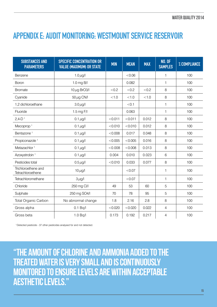#### Appendix E: Audit Monitoring: Westmount Service Reservoir

| <b>SUBSTANCES AND</b><br><b>PARAMETERS</b> | <b>SPECIFIC CONCENTRATION OR</b><br><b>VALUE (MAXIMUM) OR STATE</b> | <b>MIN</b> | <b>MEAN</b> | <b>MAX</b> | <b>NO. OF</b><br><b>SAMPLES</b> | % COMPLIANCE |
|--------------------------------------------|---------------------------------------------------------------------|------------|-------------|------------|---------------------------------|--------------|
| Benzene                                    | 1.0 $\mu$ g/l                                                       |            | < 0.06      |            | 1                               | 100          |
| <b>Boron</b>                               | 1.0 mg B/l                                                          |            | 0.082       |            | $\mathbf{1}$                    | 100          |
| <b>Bromate</b>                             | 10 $\mu$ g BrO3/I                                                   | < 0.2      | <0.2        | < 0.2      | 8                               | 100          |
| Cyanide                                    | $50 \mu g$ CN/I                                                     | < 1.0      | < 1.0       | < 1.0      | 8                               | 100          |
| 1,2 dichloroethane                         | $3.0 \mu g/l$                                                       |            | < 0.1       |            | $\mathbf{1}$                    | 100          |
| Fluoride                                   | 1.5 mg F/I                                                          |            | 0.063       |            | $\mathbf{1}$                    | 100          |
| $2,4-D$ <sup>1</sup>                       | 0.1 $\mu$ g/l                                                       | < 0.011    | < 0.011     | 0.012      | 8                               | 100          |
| Mecoprop $1$                               | $0.1 \,\mu g/l$                                                     | < 0.010    | < 0.010     | 0.012      | 8                               | 100          |
| Bentazone <sup>1</sup>                     | 0.1 $\mu$ g/l                                                       | < 0.008    | 0.017       | 0.048      | 8                               | 100          |
| Propiconazole <sup>1</sup>                 | 0.1 $\mu$ g/l                                                       | < 0.005    | < 0.005     | 0.016      | 8                               | 100          |
| Metazachlor <sup>1</sup>                   | 0.1 $\mu$ g/l                                                       | < 0.008    | < 0.008     | 0.013      | 8                               | 100          |
| Azoxystrobin <sup>1</sup>                  | $0.1 \,\mu g/l$                                                     | 0.004      | 0.010       | 0.023      | 6                               | 100          |
| Pesticides total                           | $0.5 \mu$ g/l                                                       | < 0.010    | 0.033       | 0.077      | 8                               | 100          |
| Trichloroethene and<br>Tetrachloroethene   | $10 \mu g/l$                                                        |            | < 0.07      |            | $\mathbf 1$                     | 100          |
| Tetrachloromethane                         | $3 \mu g/l$                                                         |            | < 0.07      |            | $\mathbf{1}$                    | 100          |
| Chloride                                   | 250 mg Cl/l                                                         | 49         | 53          | 60         | 5                               | 100          |
| Sulphate                                   | 250 mg SO4/l                                                        | 70         | 78          | 95         | 5                               | 100          |
| <b>Total Organic Carbon</b>                | No abnormal change                                                  | 1.8        | 2.16        | 2.8        | 8                               | 100          |
| Gross alpha                                | 0.1 Bq/l                                                            | < 0.020    | < 0.020     | 0.022      | $\overline{4}$                  | 100          |
| Gross beta                                 | 1.0 Bq/l                                                            | 0.173      | 0.192       | 0.217      | 4                               | 100          |

1 Detected pesticide - 37 other pesticides analysed for and not detected.

"The amount of chlorine and ammonia added to the treated water is very small and is continuously monitored to ensure levels are within acceptable aesthetic levels."